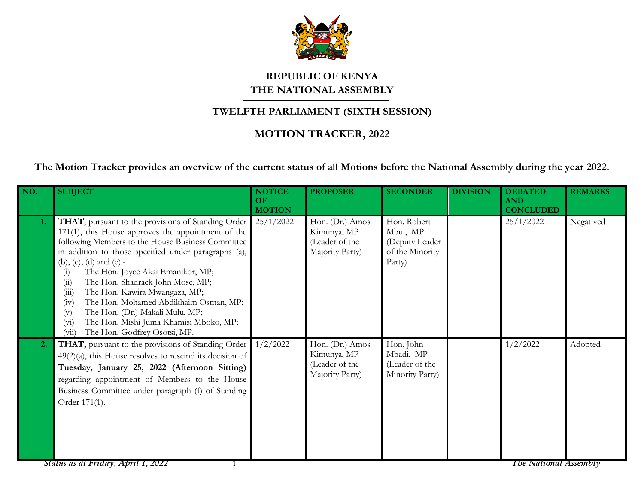

## **REPUBLIC OF KENYA THE NATIONAL ASSEMBLY**

## **TWELFTH PARLIAMENT (SIXTH SESSION)**

## **MOTION TRACKER, 2022**

**The Motion Tracker provides an overview of the current status of all Motions before the National Assembly during the year 2022.**

| NO. | <b>SUBJECT</b>                                                                                                                                                                                                                                                                                                                                                                                                                                                                                                                                                                 | <b>NOTICE</b><br>OF<br><b>MOTION</b> | <b>PROPOSER</b>                                                     | <b>SECONDER</b>                                                        | <b>DIVISION</b> | <b>DEBATED</b><br><b>AND</b><br><b>CONCLUDED</b> | <b>REMARKS</b> |
|-----|--------------------------------------------------------------------------------------------------------------------------------------------------------------------------------------------------------------------------------------------------------------------------------------------------------------------------------------------------------------------------------------------------------------------------------------------------------------------------------------------------------------------------------------------------------------------------------|--------------------------------------|---------------------------------------------------------------------|------------------------------------------------------------------------|-----------------|--------------------------------------------------|----------------|
| 1.  | THAT, pursuant to the provisions of Standing Order<br>$171(1)$ , this House approves the appointment of the<br>following Members to the House Business Committee<br>in addition to those specified under paragraphs (a),<br>(b), (c), (d) and (e):-<br>The Hon. Joyce Akai Emanikor, MP;<br>(i)<br>The Hon. Shadrack John Mose, MP;<br>(ii)<br>(iii)<br>The Hon. Kawira Mwangaza, MP;<br>The Hon. Mohamed Abdikhaim Osman, MP;<br>(iv)<br>The Hon. (Dr.) Makali Mulu, MP;<br>(v)<br>The Hon. Mishi Juma Khamisi Mboko, MP;<br>$(v_i)$<br>The Hon. Godfrey Osotsi, MP.<br>(vii) | 25/1/2022                            | Hon. (Dr.) Amos<br>Kimunya, MP<br>(Leader of the<br>Majority Party) | Hon. Robert<br>Mbui, MP<br>(Deputy Leader<br>of the Minority<br>Party) |                 | 25/1/2022                                        | Negatived      |
| 2.  | THAT, pursuant to the provisions of Standing Order<br>$49(2)(a)$ , this House resolves to rescind its decision of<br>Tuesday, January 25, 2022 (Afternoon Sitting)<br>regarding appointment of Members to the House<br>Business Committee under paragraph (f) of Standing<br>Order 171(1).<br>Status as at Friday, April 1, 2022                                                                                                                                                                                                                                               | 1/2/2022                             | Hon. (Dr.) Amos<br>Kimunya, MP<br>(Leader of the<br>Majority Party) | Hon. John<br>Mbadi, MP<br>(Leader of the<br>Minority Party)            |                 | 1/2/2022<br><b>The National Assembly</b>         | Adopted        |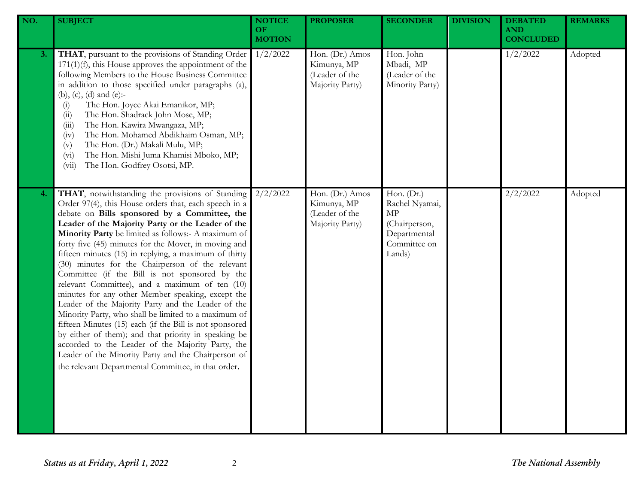| NO. | <b>SUBJECT</b>                                                                                                                                                                                                                                                                                                                                                                                                                                                                                                                                                                                                                                                                                                                                                                                                                                                                                                                                                                                           | <b>NOTICE</b><br>OF<br><b>MOTION</b> | <b>PROPOSER</b>                                                     | <b>SECONDER</b>                                                                               | <b>DIVISION</b> | <b>DEBATED</b><br><b>AND</b><br><b>CONCLUDED</b> | <b>REMARKS</b> |
|-----|----------------------------------------------------------------------------------------------------------------------------------------------------------------------------------------------------------------------------------------------------------------------------------------------------------------------------------------------------------------------------------------------------------------------------------------------------------------------------------------------------------------------------------------------------------------------------------------------------------------------------------------------------------------------------------------------------------------------------------------------------------------------------------------------------------------------------------------------------------------------------------------------------------------------------------------------------------------------------------------------------------|--------------------------------------|---------------------------------------------------------------------|-----------------------------------------------------------------------------------------------|-----------------|--------------------------------------------------|----------------|
| 3.  | THAT, pursuant to the provisions of Standing Order<br>$171(1)(f)$ , this House approves the appointment of the<br>following Members to the House Business Committee<br>in addition to those specified under paragraphs (a),<br>(b), (c), (d) and (e):-<br>The Hon. Joyce Akai Emanikor, MP;<br>(i)<br>The Hon. Shadrack John Mose, MP;<br>(ii)<br>The Hon. Kawira Mwangaza, MP;<br>(iii)<br>The Hon. Mohamed Abdikhaim Osman, MP;<br>(iv)<br>The Hon. (Dr.) Makali Mulu, MP;<br>(v)<br>The Hon. Mishi Juma Khamisi Mboko, MP;<br>(v <sub>i</sub> )<br>The Hon. Godfrey Osotsi, MP.<br>(vii)                                                                                                                                                                                                                                                                                                                                                                                                              | 1/2/2022                             | Hon. (Dr.) Amos<br>Kimunya, MP<br>(Leader of the<br>Majority Party) | Hon. John<br>Mbadi, MP<br>(Leader of the<br>Minority Party)                                   |                 | 1/2/2022                                         | Adopted        |
| 4.  | THAT, notwithstanding the provisions of Standing<br>Order 97(4), this House orders that, each speech in a<br>debate on Bills sponsored by a Committee, the<br>Leader of the Majority Party or the Leader of the<br>Minority Party be limited as follows:- A maximum of<br>forty five (45) minutes for the Mover, in moving and<br>fifteen minutes (15) in replying, a maximum of thirty<br>(30) minutes for the Chairperson of the relevant<br>Committee (if the Bill is not sponsored by the<br>relevant Committee), and a maximum of ten (10)<br>minutes for any other Member speaking, except the<br>Leader of the Majority Party and the Leader of the<br>Minority Party, who shall be limited to a maximum of<br>fifteen Minutes (15) each (if the Bill is not sponsored<br>by either of them); and that priority in speaking be<br>accorded to the Leader of the Majority Party, the<br>Leader of the Minority Party and the Chairperson of<br>the relevant Departmental Committee, in that order. | 2/2/2022                             | Hon. (Dr.) Amos<br>Kimunya, MP<br>(Leader of the<br>Majority Party) | Hon. (Dr.)<br>Rachel Nyamai,<br>MP<br>(Chairperson,<br>Departmental<br>Committee on<br>Lands) |                 | 2/2/2022                                         | Adopted        |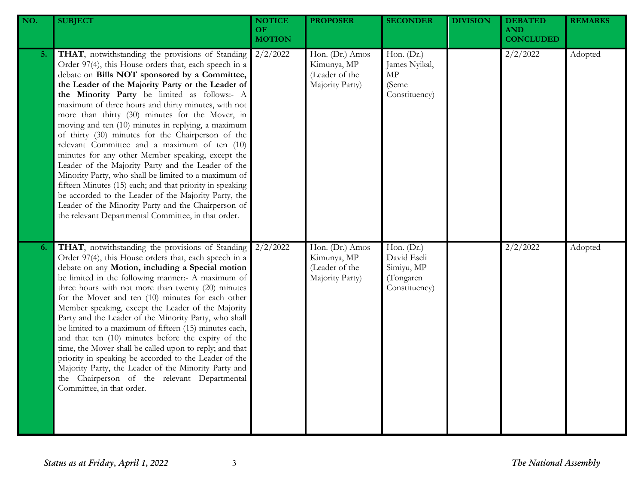| NO. | <b>SUBJECT</b>                                                                                                                                                                                                                                                                                                                                                                                                                                                                                                                                                                                                                                                                                                                                                                                                                                                                                                                            | <b>NOTICE</b><br>OF<br><b>MOTION</b> | <b>PROPOSER</b>                                                     | <b>SECONDER</b>                                                       | <b>DIVISION</b> | <b>DEBATED</b><br><b>AND</b><br><b>CONCLUDED</b> | <b>REMARKS</b> |
|-----|-------------------------------------------------------------------------------------------------------------------------------------------------------------------------------------------------------------------------------------------------------------------------------------------------------------------------------------------------------------------------------------------------------------------------------------------------------------------------------------------------------------------------------------------------------------------------------------------------------------------------------------------------------------------------------------------------------------------------------------------------------------------------------------------------------------------------------------------------------------------------------------------------------------------------------------------|--------------------------------------|---------------------------------------------------------------------|-----------------------------------------------------------------------|-----------------|--------------------------------------------------|----------------|
| 5.  | THAT, notwithstanding the provisions of Standing<br>Order 97(4), this House orders that, each speech in a<br>debate on Bills NOT sponsored by a Committee,<br>the Leader of the Majority Party or the Leader of<br>the Minority Party be limited as follows:- A<br>maximum of three hours and thirty minutes, with not<br>more than thirty (30) minutes for the Mover, in<br>moving and ten (10) minutes in replying, a maximum<br>of thirty (30) minutes for the Chairperson of the<br>relevant Committee and a maximum of ten (10)<br>minutes for any other Member speaking, except the<br>Leader of the Majority Party and the Leader of the<br>Minority Party, who shall be limited to a maximum of<br>fifteen Minutes (15) each; and that priority in speaking<br>be accorded to the Leader of the Majority Party, the<br>Leader of the Minority Party and the Chairperson of<br>the relevant Departmental Committee, in that order. | 2/2/2022                             | Hon. (Dr.) Amos<br>Kimunya, MP<br>(Leader of the<br>Majority Party) | Hon. (Dr.)<br>James Nyikal,<br>MP<br>(Seme<br>Constituency)           |                 | 2/2/2022                                         | Adopted        |
| 6.  | THAT, notwithstanding the provisions of Standing<br>Order 97(4), this House orders that, each speech in a<br>debate on any Motion, including a Special motion<br>be limited in the following manner:- A maximum of<br>three hours with not more than twenty (20) minutes<br>for the Mover and ten (10) minutes for each other<br>Member speaking, except the Leader of the Majority<br>Party and the Leader of the Minority Party, who shall<br>be limited to a maximum of fifteen (15) minutes each,<br>and that ten (10) minutes before the expiry of the<br>time, the Mover shall be called upon to reply; and that<br>priority in speaking be accorded to the Leader of the<br>Majority Party, the Leader of the Minority Party and<br>the Chairperson of the relevant Departmental<br>Committee, in that order.                                                                                                                      | 2/2/2022                             | Hon. (Dr.) Amos<br>Kimunya, MP<br>(Leader of the<br>Majority Party) | Hon. (Dr.)<br>David Eseli<br>Simiyu, MP<br>(Tongaren<br>Constituency) |                 | 2/2/2022                                         | Adopted        |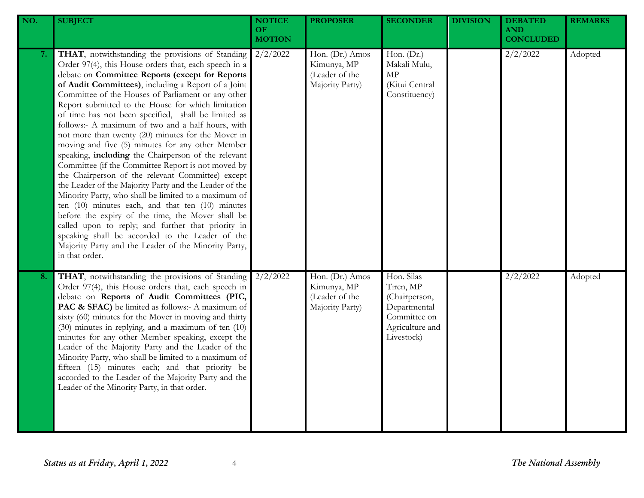| NO. | <b>SUBJECT</b>                                                                                                                                                                                                                                                                                                                                                                                                                                                                                                                                                                                                                                                                                                                                                                                                                                                                                                                                                                                                                                                                                                                            | <b>NOTICE</b><br>OF.<br><b>MOTION</b> | <b>PROPOSER</b>                                                     | <b>SECONDER</b>                                                                                           | <b>DIVISION</b> | <b>DEBATED</b><br><b>AND</b><br><b>CONCLUDED</b> | <b>REMARKS</b> |
|-----|-------------------------------------------------------------------------------------------------------------------------------------------------------------------------------------------------------------------------------------------------------------------------------------------------------------------------------------------------------------------------------------------------------------------------------------------------------------------------------------------------------------------------------------------------------------------------------------------------------------------------------------------------------------------------------------------------------------------------------------------------------------------------------------------------------------------------------------------------------------------------------------------------------------------------------------------------------------------------------------------------------------------------------------------------------------------------------------------------------------------------------------------|---------------------------------------|---------------------------------------------------------------------|-----------------------------------------------------------------------------------------------------------|-----------------|--------------------------------------------------|----------------|
| 7.  | THAT, notwithstanding the provisions of Standing<br>Order 97(4), this House orders that, each speech in a<br>debate on Committee Reports (except for Reports<br>of Audit Committees), including a Report of a Joint<br>Committee of the Houses of Parliament or any other<br>Report submitted to the House for which limitation<br>of time has not been specified, shall be limited as<br>follows:- A maximum of two and a half hours, with<br>not more than twenty (20) minutes for the Mover in<br>moving and five (5) minutes for any other Member<br>speaking, including the Chairperson of the relevant<br>Committee (if the Committee Report is not moved by<br>the Chairperson of the relevant Committee) except<br>the Leader of the Majority Party and the Leader of the<br>Minority Party, who shall be limited to a maximum of<br>ten $(10)$ minutes each, and that ten $(10)$ minutes<br>before the expiry of the time, the Mover shall be<br>called upon to reply; and further that priority in<br>speaking shall be accorded to the Leader of the<br>Majority Party and the Leader of the Minority Party,<br>in that order. | $2/2/\overline{2022}$                 | Hon. (Dr.) Amos<br>Kimunya, MP<br>(Leader of the<br>Majority Party) | Hon. (Dr.)<br>Makali Mulu,<br>$\ensuremath{\mathrm{MP}}$<br>(Kitui Central<br>Constituency)               |                 | 2/2/2022                                         | Adopted        |
| 8.  | THAT, notwithstanding the provisions of Standing<br>Order 97(4), this House orders that, each speech in<br>debate on Reports of Audit Committees (PIC,<br>PAC & SFAC) be limited as follows:- A maximum of<br>sixty (60) minutes for the Mover in moving and thirty<br>(30) minutes in replying, and a maximum of ten (10)<br>minutes for any other Member speaking, except the<br>Leader of the Majority Party and the Leader of the<br>Minority Party, who shall be limited to a maximum of<br>fifteen (15) minutes each; and that priority be<br>accorded to the Leader of the Majority Party and the<br>Leader of the Minority Party, in that order.                                                                                                                                                                                                                                                                                                                                                                                                                                                                                  | 2/2/2022                              | Hon. (Dr.) Amos<br>Kimunya, MP<br>(Leader of the<br>Majority Party) | Hon. Silas<br>Tiren, MP<br>(Chairperson,<br>Departmental<br>Committee on<br>Agriculture and<br>Livestock) |                 | 2/2/2022                                         | Adopted        |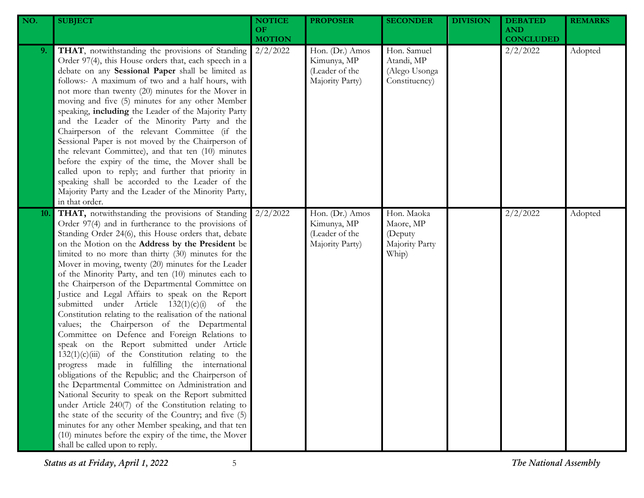| NO. | <b>SUBJECT</b>                                                                                                                                                                                                                                                                                                                                                                                                                                                                                                                                                                                                                                                                                                                                                                                                                                                                                                                                                                                                                                                                                                                                                                                                                                                                                             | <b>NOTICE</b><br><b>OF</b><br><b>MOTION</b> | <b>PROPOSER</b>                                                     | <b>SECONDER</b>                                               | <b>DIVISION</b> | <b>DEBATED</b><br><b>AND</b><br><b>CONCLUDED</b> | <b>REMARKS</b> |
|-----|------------------------------------------------------------------------------------------------------------------------------------------------------------------------------------------------------------------------------------------------------------------------------------------------------------------------------------------------------------------------------------------------------------------------------------------------------------------------------------------------------------------------------------------------------------------------------------------------------------------------------------------------------------------------------------------------------------------------------------------------------------------------------------------------------------------------------------------------------------------------------------------------------------------------------------------------------------------------------------------------------------------------------------------------------------------------------------------------------------------------------------------------------------------------------------------------------------------------------------------------------------------------------------------------------------|---------------------------------------------|---------------------------------------------------------------------|---------------------------------------------------------------|-----------------|--------------------------------------------------|----------------|
| 9.  | THAT, notwithstanding the provisions of Standing<br>Order 97(4), this House orders that, each speech in a<br>debate on any Sessional Paper shall be limited as<br>follows:- A maximum of two and a half hours, with<br>not more than twenty (20) minutes for the Mover in<br>moving and five (5) minutes for any other Member<br>speaking, including the Leader of the Majority Party<br>and the Leader of the Minority Party and the<br>Chairperson of the relevant Committee (if the<br>Sessional Paper is not moved by the Chairperson of<br>the relevant Committee), and that ten (10) minutes<br>before the expiry of the time, the Mover shall be<br>called upon to reply; and further that priority in<br>speaking shall be accorded to the Leader of the<br>Majority Party and the Leader of the Minority Party,<br>in that order.                                                                                                                                                                                                                                                                                                                                                                                                                                                                 | 2/2/2022                                    | Hon. (Dr.) Amos<br>Kimunya, MP<br>(Leader of the<br>Majority Party) | Hon. Samuel<br>Atandi, MP<br>(Alego Usonga<br>Constituency)   |                 | 2/2/2022                                         | Adopted        |
| 10. | THAT, notwithstanding the provisions of Standing<br>Order 97(4) and in furtherance to the provisions of<br>Standing Order 24(6), this House orders that, debate<br>on the Motion on the Address by the President be<br>limited to no more than thirty (30) minutes for the<br>Mover in moving, twenty (20) minutes for the Leader<br>of the Minority Party, and ten (10) minutes each to<br>the Chairperson of the Departmental Committee on<br>Justice and Legal Affairs to speak on the Report<br>submitted under Article $132(1)(c)(i)$ of the<br>Constitution relating to the realisation of the national<br>values; the Chairperson of the Departmental<br>Committee on Defence and Foreign Relations to<br>speak on the Report submitted under Article<br>$132(1)(c)(iii)$ of the Constitution relating to the<br>progress made in fulfilling the international<br>obligations of the Republic; and the Chairperson of<br>the Departmental Committee on Administration and<br>National Security to speak on the Report submitted<br>under Article 240(7) of the Constitution relating to<br>the state of the security of the Country; and five (5)<br>minutes for any other Member speaking, and that ten<br>(10) minutes before the expiry of the time, the Mover<br>shall be called upon to reply. | 2/2/2022                                    | Hon. (Dr.) Amos<br>Kimunya, MP<br>(Leader of the<br>Majority Party) | Hon. Maoka<br>Maore, MP<br>(Deputy<br>Majority Party<br>Whip) |                 | 2/2/2022                                         | Adopted        |

*Status as at Friday, April 1, 2022* 5 *The National Assembly*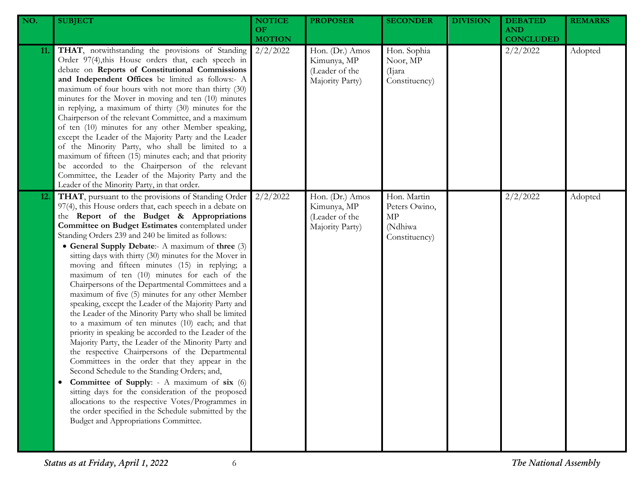| NO.        | <b>SUBJECT</b>                                                                                                                                                                                                                                                                                                                                                                                                                                                                                                                                                                                                                                                                                                                                                                                                                                                                                                                                                                                                                                                                                                                                                                                                                                                                                       | <b>NOTICE</b><br><b>OF</b><br><b>MOTION</b> | <b>PROPOSER</b>                                                     | <b>SECONDER</b>                                                | <b>DIVISION</b> | <b>DEBATED</b><br><b>AND</b><br><b>CONCLUDED</b> | <b>REMARKS</b> |
|------------|------------------------------------------------------------------------------------------------------------------------------------------------------------------------------------------------------------------------------------------------------------------------------------------------------------------------------------------------------------------------------------------------------------------------------------------------------------------------------------------------------------------------------------------------------------------------------------------------------------------------------------------------------------------------------------------------------------------------------------------------------------------------------------------------------------------------------------------------------------------------------------------------------------------------------------------------------------------------------------------------------------------------------------------------------------------------------------------------------------------------------------------------------------------------------------------------------------------------------------------------------------------------------------------------------|---------------------------------------------|---------------------------------------------------------------------|----------------------------------------------------------------|-----------------|--------------------------------------------------|----------------|
| 11.        | THAT, notwithstanding the provisions of Standing<br>Order 97(4), this House orders that, each speech in<br>debate on Reports of Constitutional Commissions<br>and Independent Offices be limited as follows:- A<br>maximum of four hours with not more than thirty (30)<br>minutes for the Mover in moving and ten (10) minutes<br>in replying, a maximum of thirty (30) minutes for the<br>Chairperson of the relevant Committee, and a maximum<br>of ten (10) minutes for any other Member speaking,<br>except the Leader of the Majority Party and the Leader<br>of the Minority Party, who shall be limited to a<br>maximum of fifteen (15) minutes each; and that priority<br>be accorded to the Chairperson of the relevant<br>Committee, the Leader of the Majority Party and the<br>Leader of the Minority Party, in that order.                                                                                                                                                                                                                                                                                                                                                                                                                                                             | 2/2/2022                                    | Hon. (Dr.) Amos<br>Kimunya, MP<br>(Leader of the<br>Majority Party) | Hon. Sophia<br>Noor, MP<br>(Ijara)<br>Constituency)            |                 | 2/2/2022                                         | Adopted        |
| <b>12.</b> | THAT, pursuant to the provisions of Standing Order<br>97(4), this House orders that, each speech in a debate on<br>the Report of the Budget & Appropriations<br>Committee on Budget Estimates contemplated under<br>Standing Orders 239 and 240 be limited as follows:<br>• General Supply Debate:- A maximum of three (3)<br>sitting days with thirty (30) minutes for the Mover in<br>moving and fifteen minutes (15) in replying; a<br>maximum of ten (10) minutes for each of the<br>Chairpersons of the Departmental Committees and a<br>maximum of five (5) minutes for any other Member<br>speaking, except the Leader of the Majority Party and<br>the Leader of the Minority Party who shall be limited<br>to a maximum of ten minutes (10) each; and that<br>priority in speaking be accorded to the Leader of the<br>Majority Party, the Leader of the Minority Party and<br>the respective Chairpersons of the Departmental<br>Committees in the order that they appear in the<br>Second Schedule to the Standing Orders; and,<br>Committee of Supply: - A maximum of six (6)<br>sitting days for the consideration of the proposed<br>allocations to the respective Votes/Programmes in<br>the order specified in the Schedule submitted by the<br>Budget and Appropriations Committee. | 2/2/2022                                    | Hon. (Dr.) Amos<br>Kimunya, MP<br>(Leader of the<br>Majority Party) | Hon. Martin<br>Peters Owino,<br>МP<br>(Ndhiwa<br>Constituency) |                 | 2/2/2022                                         | Adopted        |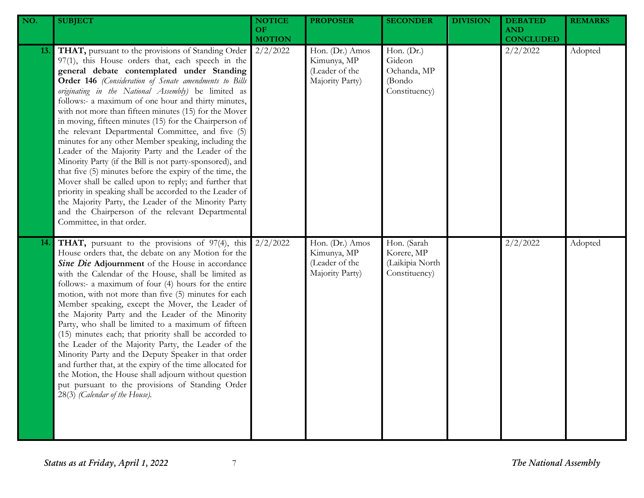| NO.        | <b>SUBJECT</b>                                                                                                                                                                                                                                                                                                                                                                                                                                                                                                                                                                                                                                                                                                                                                                                                                                                                                                                                                                                           | <b>NOTICE</b><br>OF.<br><b>MOTION</b> | <b>PROPOSER</b>                                                     | <b>SECONDER</b>                                                  | <b>DIVISION</b> | <b>DEBATED</b><br><b>AND</b><br><b>CONCLUDED</b> | <b>REMARKS</b> |
|------------|----------------------------------------------------------------------------------------------------------------------------------------------------------------------------------------------------------------------------------------------------------------------------------------------------------------------------------------------------------------------------------------------------------------------------------------------------------------------------------------------------------------------------------------------------------------------------------------------------------------------------------------------------------------------------------------------------------------------------------------------------------------------------------------------------------------------------------------------------------------------------------------------------------------------------------------------------------------------------------------------------------|---------------------------------------|---------------------------------------------------------------------|------------------------------------------------------------------|-----------------|--------------------------------------------------|----------------|
| 13.        | THAT, pursuant to the provisions of Standing Order<br>97(1), this House orders that, each speech in the<br>general debate contemplated under Standing<br>Order 146 (Consideration of Senate amendments to Bills<br>originating in the National Assembly) be limited as<br>follows:- a maximum of one hour and thirty minutes,<br>with not more than fifteen minutes (15) for the Mover<br>in moving, fifteen minutes (15) for the Chairperson of<br>the relevant Departmental Committee, and five (5)<br>minutes for any other Member speaking, including the<br>Leader of the Majority Party and the Leader of the<br>Minority Party (if the Bill is not party-sponsored), and<br>that five (5) minutes before the expiry of the time, the<br>Mover shall be called upon to reply; and further that<br>priority in speaking shall be accorded to the Leader of<br>the Majority Party, the Leader of the Minority Party<br>and the Chairperson of the relevant Departmental<br>Committee, in that order. | 2/2/2022                              | Hon. (Dr.) Amos<br>Kimunya, MP<br>(Leader of the<br>Majority Party) | Hon. $(Dr.)$<br>Gideon<br>Ochanda, MP<br>(Bondo<br>Constituency) |                 | 2/2/2022                                         | Adopted        |
| <b>14.</b> | THAT, pursuant to the provisions of 97(4), this<br>House orders that, the debate on any Motion for the<br>Sine Die Adjournment of the House in accordance<br>with the Calendar of the House, shall be limited as<br>follows:- a maximum of four (4) hours for the entire<br>motion, with not more than five (5) minutes for each<br>Member speaking, except the Mover, the Leader of<br>the Majority Party and the Leader of the Minority<br>Party, who shall be limited to a maximum of fifteen<br>(15) minutes each; that priority shall be accorded to<br>the Leader of the Majority Party, the Leader of the<br>Minority Party and the Deputy Speaker in that order<br>and further that, at the expiry of the time allocated for<br>the Motion, the House shall adjourn without question<br>put pursuant to the provisions of Standing Order<br>28(3) (Calendar of the House).                                                                                                                       | 2/2/2022                              | Hon. (Dr.) Amos<br>Kimunya, MP<br>(Leader of the<br>Majority Party) | Hon. (Sarah<br>Korere, MP<br>(Laikipia North<br>Constituency)    |                 | 2/2/2022                                         | Adopted        |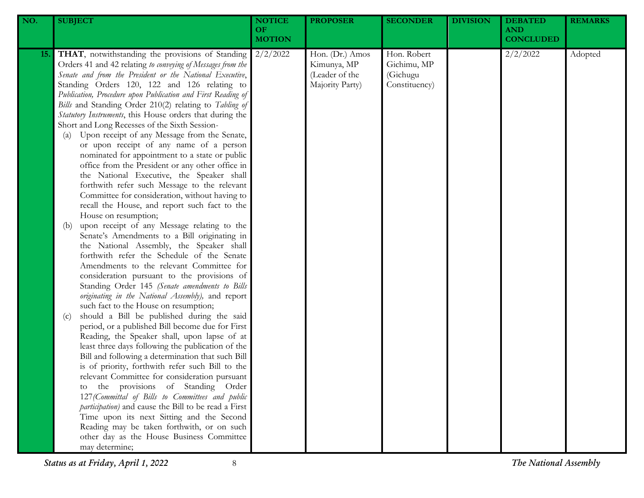| NO.        | <b>SUBJECT</b>                                                                                                                                                                                                                                                                                                                                                                                                                                                                                                                                                                                                                                                                                                                                                                                                                                                                                                                                                                                                                                                                                                                                                                                                                                                                                                                                                                                                                                                                                                                                                                                                                                                                                                                                                                                                                                                                                                                                                                                                                        | <b>NOTICE</b><br>OF<br><b>MOTION</b> | <b>PROPOSER</b>                                                     | <b>SECONDER</b>                                         | <b>DIVISION</b> | <b>DEBATED</b><br><b>AND</b><br><b>CONCLUDED</b> | <b>REMARKS</b> |
|------------|---------------------------------------------------------------------------------------------------------------------------------------------------------------------------------------------------------------------------------------------------------------------------------------------------------------------------------------------------------------------------------------------------------------------------------------------------------------------------------------------------------------------------------------------------------------------------------------------------------------------------------------------------------------------------------------------------------------------------------------------------------------------------------------------------------------------------------------------------------------------------------------------------------------------------------------------------------------------------------------------------------------------------------------------------------------------------------------------------------------------------------------------------------------------------------------------------------------------------------------------------------------------------------------------------------------------------------------------------------------------------------------------------------------------------------------------------------------------------------------------------------------------------------------------------------------------------------------------------------------------------------------------------------------------------------------------------------------------------------------------------------------------------------------------------------------------------------------------------------------------------------------------------------------------------------------------------------------------------------------------------------------------------------------|--------------------------------------|---------------------------------------------------------------------|---------------------------------------------------------|-----------------|--------------------------------------------------|----------------|
| <b>15.</b> | THAT, notwithstanding the provisions of Standing<br>Orders 41 and 42 relating to conveying of Messages from the<br>Senate and from the President or the National Executive,<br>Standing Orders 120, 122 and 126 relating to<br>Publication, Procedure upon Publication and First Reading of<br>Bills and Standing Order 210(2) relating to Tabling of<br>Statutory Instruments, this House orders that during the<br>Short and Long Recesses of the Sixth Session-<br>Upon receipt of any Message from the Senate,<br>(a)<br>or upon receipt of any name of a person<br>nominated for appointment to a state or public<br>office from the President or any other office in<br>the National Executive, the Speaker shall<br>forthwith refer such Message to the relevant<br>Committee for consideration, without having to<br>recall the House, and report such fact to the<br>House on resumption;<br>upon receipt of any Message relating to the<br>(b)<br>Senate's Amendments to a Bill originating in<br>the National Assembly, the Speaker shall<br>forthwith refer the Schedule of the Senate<br>Amendments to the relevant Committee for<br>consideration pursuant to the provisions of<br>Standing Order 145 (Senate amendments to Bills<br>originating in the National Assembly), and report<br>such fact to the House on resumption;<br>should a Bill be published during the said<br>(c)<br>period, or a published Bill become due for First<br>Reading, the Speaker shall, upon lapse of at<br>least three days following the publication of the<br>Bill and following a determination that such Bill<br>is of priority, forthwith refer such Bill to the<br>relevant Committee for consideration pursuant<br>the provisions of Standing Order<br>to<br>127 (Committal of Bills to Committees and public<br>participation) and cause the Bill to be read a First<br>Time upon its next Sitting and the Second<br>Reading may be taken forthwith, or on such<br>other day as the House Business Committee<br>may determine; | 2/2/2022                             | Hon. (Dr.) Amos<br>Kimunya, MP<br>(Leader of the<br>Majority Party) | Hon. Robert<br>Gichimu, MP<br>(Gichugu<br>Constituency) |                 | 2/2/2022                                         | Adopted        |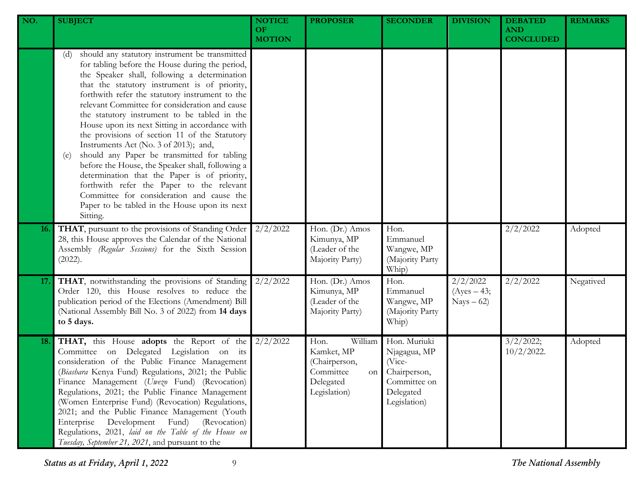| NO.        | <b>SUBJECT</b>                                                                                                                                                                                                                                                                                                                                                                                                                                                                                                                                                                                                                                                                                                                                                                                                              | <b>NOTICE</b><br><b>OF</b><br><b>MOTION</b> | <b>PROPOSER</b>                                                                                | <b>SECONDER</b>                                                                                     | <b>DIVISION</b>                          | <b>DEBATED</b><br><b>AND</b><br><b>CONCLUDED</b> | <b>REMARKS</b> |
|------------|-----------------------------------------------------------------------------------------------------------------------------------------------------------------------------------------------------------------------------------------------------------------------------------------------------------------------------------------------------------------------------------------------------------------------------------------------------------------------------------------------------------------------------------------------------------------------------------------------------------------------------------------------------------------------------------------------------------------------------------------------------------------------------------------------------------------------------|---------------------------------------------|------------------------------------------------------------------------------------------------|-----------------------------------------------------------------------------------------------------|------------------------------------------|--------------------------------------------------|----------------|
|            | should any statutory instrument be transmitted<br>(d)<br>for tabling before the House during the period,<br>the Speaker shall, following a determination<br>that the statutory instrument is of priority,<br>forthwith refer the statutory instrument to the<br>relevant Committee for consideration and cause<br>the statutory instrument to be tabled in the<br>House upon its next Sitting in accordance with<br>the provisions of section 11 of the Statutory<br>Instruments Act (No. 3 of 2013); and,<br>should any Paper be transmitted for tabling<br>(e)<br>before the House, the Speaker shall, following a<br>determination that the Paper is of priority,<br>forthwith refer the Paper to the relevant<br>Committee for consideration and cause the<br>Paper to be tabled in the House upon its next<br>Sitting. |                                             |                                                                                                |                                                                                                     |                                          |                                                  |                |
| <b>16.</b> | THAT, pursuant to the provisions of Standing Order<br>28, this House approves the Calendar of the National<br>Assembly (Regular Sessions) for the Sixth Session<br>(2022).                                                                                                                                                                                                                                                                                                                                                                                                                                                                                                                                                                                                                                                  | 2/2/2022                                    | Hon. (Dr.) Amos<br>Kimunya, MP<br>(Leader of the<br>Majority Party)                            | Hon.<br>Emmanuel<br>Wangwe, MP<br>(Majority Party<br>Whip)                                          |                                          | 2/2/2022                                         | Adopted        |
| 17.        | THAT, notwithstanding the provisions of Standing<br>Order 120, this House resolves to reduce the<br>publication period of the Elections (Amendment) Bill<br>(National Assembly Bill No. 3 of 2022) from 14 days<br>to 5 days.                                                                                                                                                                                                                                                                                                                                                                                                                                                                                                                                                                                               | 2/2/2022                                    | Hon. (Dr.) Amos<br>Kimunya, MP<br>(Leader of the<br>Majority Party)                            | Hon.<br>Emmanuel<br>Wangwe, MP<br>(Majority Party<br>Whip)                                          | 2/2/2022<br>$(Ayes - 43;$<br>$Nays - 62$ | 2/2/2022                                         | Negatived      |
| 18.        | THAT, this House adopts the Report of the<br>Committee on Delegated Legislation on its<br>consideration of the Public Finance Management<br>(Biashara Kenya Fund) Regulations, 2021; the Public<br>Finance Management (Uwezo Fund) (Revocation)<br>Regulations, 2021; the Public Finance Management<br>(Women Enterprise Fund) (Revocation) Regulations,<br>2021; and the Public Finance Management (Youth<br>(Revocation)<br>Enterprise<br>Development<br>Fund)<br>Regulations, 2021, laid on the Table of the House on<br>Tuesday, September 21, 2021, and pursuant to the                                                                                                                                                                                                                                                | 2/2/2022                                    | Hon.<br>William<br>Kamket, MP<br>(Chairperson,<br>Committee<br>on<br>Delegated<br>Legislation) | Hon. Muriuki<br>Njagagua, MP<br>(Vice-<br>Chairperson,<br>Committee on<br>Delegated<br>Legislation) |                                          | 3/2/2022;<br>$10/2/2022$ .                       | Adopted        |

*Status as at Friday, April 1, 2022* 9 *The National Assembly*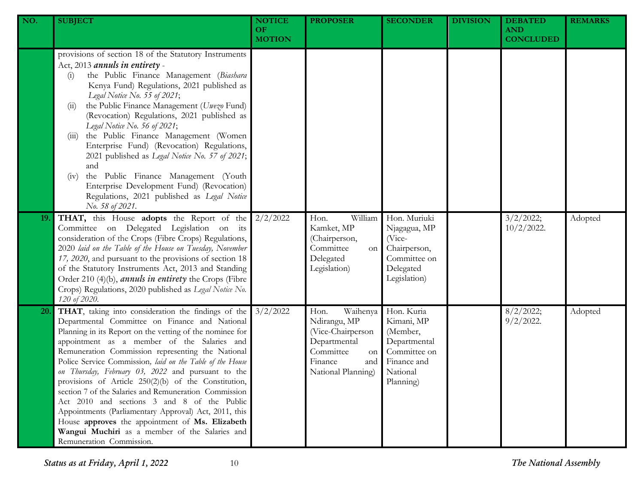| NO. | <b>SUBJECT</b>                                                                                                                                                                                                                                                                                                                                                                                                                                                                                                                                                                                                                                                                                                                                     | <b>NOTICE</b><br>OF.<br><b>MOTION</b> | <b>PROPOSER</b>                                                                                                                  | <b>SECONDER</b>                                                                                              | <b>DIVISION</b> | <b>DEBATED</b><br><b>AND</b><br><b>CONCLUDED</b> | <b>REMARKS</b> |
|-----|----------------------------------------------------------------------------------------------------------------------------------------------------------------------------------------------------------------------------------------------------------------------------------------------------------------------------------------------------------------------------------------------------------------------------------------------------------------------------------------------------------------------------------------------------------------------------------------------------------------------------------------------------------------------------------------------------------------------------------------------------|---------------------------------------|----------------------------------------------------------------------------------------------------------------------------------|--------------------------------------------------------------------------------------------------------------|-----------------|--------------------------------------------------|----------------|
|     | provisions of section 18 of the Statutory Instruments<br>Act, 2013 annuls in entirety -<br>the Public Finance Management (Biashara<br>(i)<br>Kenya Fund) Regulations, 2021 published as<br>Legal Notice No. 55 of 2021;<br>the Public Finance Management (Uwezo Fund)<br>(11)<br>(Revocation) Regulations, 2021 published as<br>Legal Notice No. 56 of 2021;<br>the Public Finance Management (Women<br>(111)<br>Enterprise Fund) (Revocation) Regulations,<br>2021 published as Legal Notice No. 57 of 2021;<br>and<br>the Public Finance Management (Youth<br>(iv)<br>Enterprise Development Fund) (Revocation)<br>Regulations, 2021 published as Legal Notice<br>No. 58 of 2021.                                                                |                                       |                                                                                                                                  |                                                                                                              |                 |                                                  |                |
| 19. | THAT, this House adopts the Report of the<br>Committee on Delegated Legislation on its<br>consideration of the Crops (Fibre Crops) Regulations,<br>2020 laid on the Table of the House on Tuesday, November<br>17, 2020, and pursuant to the provisions of section 18<br>of the Statutory Instruments Act, 2013 and Standing<br>Order 210 (4)(b), <i>annuls in entirety</i> the Crops (Fibre<br>Crops) Regulations, 2020 published as Legal Notice No.<br>120 of 2020.                                                                                                                                                                                                                                                                             | 2/2/2022                              | William<br>Hon.<br>Kamket, MP<br>(Chairperson,<br>Committee<br>on<br>Delegated<br>Legislation)                                   | Hon. Muriuki<br>Njagagua, MP<br>(Vice-<br>Chairperson,<br>Committee on<br>Delegated<br>Legislation)          |                 | 3/2/2022;<br>$10/2/2022$ .                       | Adopted        |
| 20. | THAT, taking into consideration the findings of the<br>Departmental Committee on Finance and National<br>Planning in its Report on the vetting of the nominee for<br>appointment as a member of the Salaries and<br>Remuneration Commission representing the National<br>Police Service Commission, laid on the Table of the House<br>on Thursday, February 03, 2022 and pursuant to the<br>provisions of Article 250(2)(b) of the Constitution,<br>section 7 of the Salaries and Remuneration Commission<br>Act 2010 and sections 3 and 8 of the Public<br>Appointments (Parliamentary Approval) Act, 2011, this<br>House approves the appointment of Ms. Elizabeth<br>Wangui Muchiri as a member of the Salaries and<br>Remuneration Commission. | 3/2/2022                              | Waihenya<br>Hon.<br>Ndirangu, MP<br>(Vice-Chairperson<br>Departmental<br>Committee<br>on<br>Finance<br>and<br>National Planning) | Hon. Kuria<br>Kimani, MP<br>(Member,<br>Departmental<br>Committee on<br>Finance and<br>National<br>Planning) |                 | 8/2/2022;<br>$9/2/2022$ .                        | Adopted        |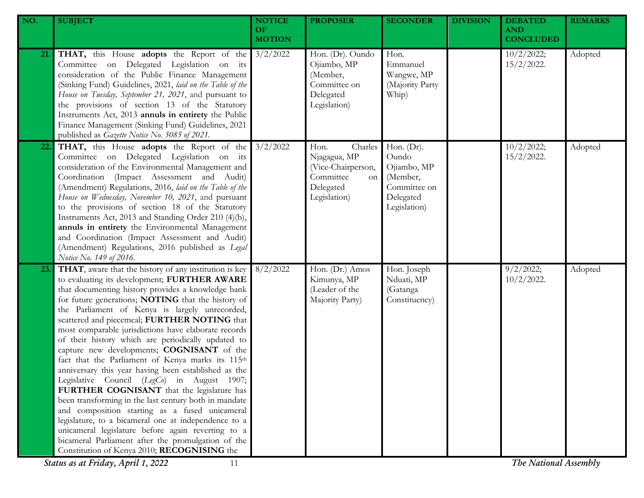| NO. | <b>SUBJECT</b>                                                                                                                                                                                                                                                                                                                                                                                                                                                                                                                                                                                                                                                                                                                                                                                                                                                                                                                                                                                                                                                       | <b>NOTICE</b><br>OF. | <b>PROPOSER</b>                                                                                              | <b>SECONDER</b>                                                                                | <b>DIVISION</b> | <b>DEBATED</b><br><b>AND</b>                        | <b>REMARKS</b> |
|-----|----------------------------------------------------------------------------------------------------------------------------------------------------------------------------------------------------------------------------------------------------------------------------------------------------------------------------------------------------------------------------------------------------------------------------------------------------------------------------------------------------------------------------------------------------------------------------------------------------------------------------------------------------------------------------------------------------------------------------------------------------------------------------------------------------------------------------------------------------------------------------------------------------------------------------------------------------------------------------------------------------------------------------------------------------------------------|----------------------|--------------------------------------------------------------------------------------------------------------|------------------------------------------------------------------------------------------------|-----------------|-----------------------------------------------------|----------------|
|     |                                                                                                                                                                                                                                                                                                                                                                                                                                                                                                                                                                                                                                                                                                                                                                                                                                                                                                                                                                                                                                                                      | <b>MOTION</b>        |                                                                                                              |                                                                                                |                 | <b>CONCLUDED</b>                                    |                |
| 21. | <b>THAT,</b> this House <b>adopts</b> the Report of the 3/2/2022<br>Committee on Delegated Legislation on its<br>consideration of the Public Finance Management<br>(Sinking Fund) Guidelines, 2021, laid on the Table of the<br>House on Tuesday, September 21, 2021, and pursuant to<br>the provisions of section 13 of the Statutory<br>Instruments Act, 2013 annuls in entirety the Public<br>Finance Management (Sinking Fund) Guidelines, 2021<br>published as Gazette Notice No. 5085 of 2021.                                                                                                                                                                                                                                                                                                                                                                                                                                                                                                                                                                 |                      | Hon. (Dr). Oundo<br>Ojiambo, MP<br>(Member,<br>Committee on<br>Delegated<br>Legislation)                     | Hon.<br>Emmanuel<br>Wangwe, MP<br>(Majority Party<br>Whip)                                     |                 | 10/2/2022;<br>$15/2/2022$ .                         | Adopted        |
| 22. | <b>THAT,</b> this House <b>adopts</b> the Report of the 3/2/2022<br>Committee on Delegated Legislation on its<br>consideration of the Environmental Management and<br>Coordination (Impact Assessment and Audit)<br>(Amendment) Regulations, 2016, laid on the Table of the<br>House on Wednesday, November 10, 2021, and pursuant<br>to the provisions of section 18 of the Statutory<br>Instruments Act, 2013 and Standing Order 210 (4)(b),<br>annuls in entirety the Environmental Management<br>and Coordination (Impact Assessment and Audit)<br>(Amendment) Regulations, 2016 published as Legal<br>Notice No. 149 of 2016.                                                                                                                                                                                                                                                                                                                                                                                                                                   |                      | Charles<br>Hon.<br>Njagagua, MP<br>(Vice-Chairperson,<br>Committee<br><b>on</b><br>Delegated<br>Legislation) | Hon. $(Dr)$ .<br>Oundo<br>Ojiambo, MP<br>(Member,<br>Committee on<br>Delegated<br>Legislation) |                 | 10/2/2022;<br>$15/2/2022$ .                         | Adopted        |
| 23. | THAT, aware that the history of any institution is key<br>to evaluating its development; FURTHER AWARE<br>that documenting history provides a knowledge bank<br>for future generations; NOTING that the history of<br>the Parliament of Kenya is largely unrecorded,<br>scattered and piecemeal; FURTHER NOTING that<br>most comparable jurisdictions have elaborate records<br>of their history which are periodically updated to<br>capture new developments; COGNISANT of the<br>fact that the Parliament of Kenya marks its 115th<br>anniversary this year having been established as the<br>Legislative Council (LegCo) in August 1907;<br>FURTHER COGNISANT that the legislature has<br>been transforming in the last century both in mandate<br>and composition starting as a fused unicameral<br>legislature, to a bicameral one at independence to a<br>unicameral legislature before again reverting to a<br>bicameral Parliament after the promulgation of the<br>Constitution of Kenya 2010; RECOGNISING the<br>Status as at Friday, April 1, 2022<br>11 | 8/2/2022             | Hon. (Dr.) Amos<br>Kimunya, MP<br>(Leader of the<br>Majority Party)                                          | Hon. Joseph<br>Nduati, MP<br>(Gatanga<br>Constituency)                                         |                 | 9/2/2022;<br>$10/2/2022$ .<br>The National Assembly | Adopted        |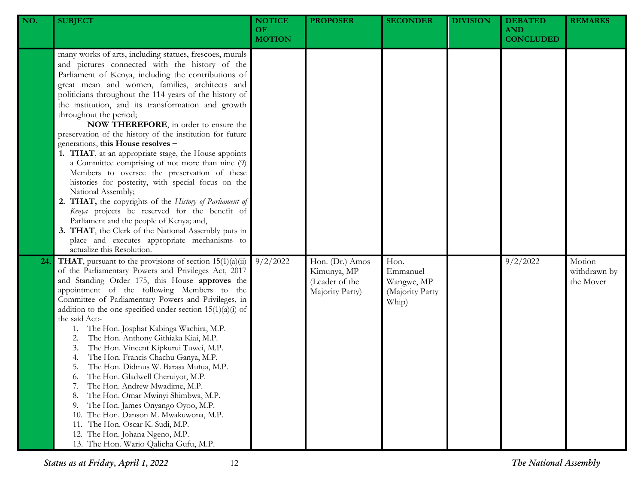| NO. | <b>SUBJECT</b>                                                                                                                                                                                                                                                                                                                                                                                                                                                                                                                                                                                                                                                                                                                                                                                                                                                                                                                                                                                                                                | <b>NOTICE</b><br>OF.<br><b>MOTION</b> | <b>PROPOSER</b>                                                     | <b>SECONDER</b>                                            | <b>DIVISION</b> | <b>DEBATED</b><br><b>AND</b><br><b>CONCLUDED</b> | <b>REMARKS</b>                      |
|-----|-----------------------------------------------------------------------------------------------------------------------------------------------------------------------------------------------------------------------------------------------------------------------------------------------------------------------------------------------------------------------------------------------------------------------------------------------------------------------------------------------------------------------------------------------------------------------------------------------------------------------------------------------------------------------------------------------------------------------------------------------------------------------------------------------------------------------------------------------------------------------------------------------------------------------------------------------------------------------------------------------------------------------------------------------|---------------------------------------|---------------------------------------------------------------------|------------------------------------------------------------|-----------------|--------------------------------------------------|-------------------------------------|
|     | many works of arts, including statues, frescoes, murals<br>and pictures connected with the history of the<br>Parliament of Kenya, including the contributions of<br>great mean and women, families, architects and<br>politicians throughout the 114 years of the history of<br>the institution, and its transformation and growth<br>throughout the period;<br>NOW THEREFORE, in order to ensure the<br>preservation of the history of the institution for future<br>generations, this House resolves -<br>1. THAT, at an appropriate stage, the House appoints<br>a Committee comprising of not more than nine (9)<br>Members to oversee the preservation of these<br>histories for posterity, with special focus on the<br>National Assembly;<br>2. THAT, the copyrights of the History of Parliament of<br>Kenya projects be reserved for the benefit of<br>Parliament and the people of Kenya; and,<br>3. THAT, the Clerk of the National Assembly puts in<br>place and executes appropriate mechanisms to<br>actualize this Resolution. |                                       |                                                                     |                                                            |                 |                                                  |                                     |
| 24  | <b>THAT</b> , pursuant to the provisions of section $15(1)(a)(ii)$<br>of the Parliamentary Powers and Privileges Act, 2017<br>and Standing Order 175, this House approves the<br>appointment of the following Members to the<br>Committee of Parliamentary Powers and Privileges, in<br>addition to the one specified under section $15(1)(a)(i)$ of<br>the said Act:-<br>The Hon. Josphat Kabinga Wachira, M.P.<br>1.<br>The Hon. Anthony Githiaka Kiai, M.P.<br>2.<br>The Hon. Vincent Kipkurui Tuwei, M.P.<br>3.<br>The Hon. Francis Chachu Ganya, M.P.<br>4.<br>The Hon. Didmus W. Barasa Mutua, M.P.<br>5.<br>The Hon. Gladwell Cheruiyot, M.P.<br>6.<br>The Hon. Andrew Mwadime, M.P.<br>7.<br>The Hon. Omar Mwinyi Shimbwa, M.P.<br>8.<br>The Hon. James Onyango Oyoo, M.P.<br>9.<br>The Hon. Danson M. Mwakuwona, M.P.<br>10.<br>The Hon. Oscar K. Sudi, M.P.<br>11.<br>12. The Hon. Johana Ngeno, M.P.<br>13. The Hon. Wario Qalicha Gufu, M.P.                                                                                      | 9/2/2022                              | Hon. (Dr.) Amos<br>Kimunya, MP<br>(Leader of the<br>Majority Party) | Hon.<br>Emmanuel<br>Wangwe, MP<br>(Majority Party<br>Whip) |                 | 9/2/2022                                         | Motion<br>withdrawn by<br>the Mover |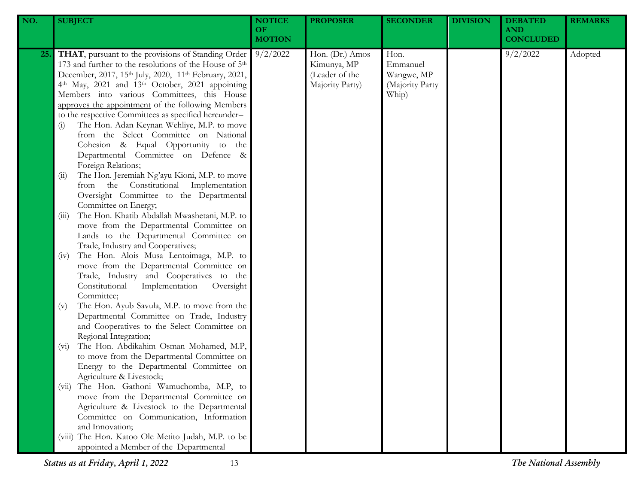| NO. | <b>SUBJECT</b>                                                                                                                                                                                                                                                                                                                                                                                                                                                                                                                                                                                                                                            | <b>NOTICE</b><br>OF<br><b>MOTION</b> | <b>PROPOSER</b>                                                     | <b>SECONDER</b>                                            | <b>DIVISION</b> | <b>DEBATED</b><br><b>AND</b><br><b>CONCLUDED</b> | <b>REMARKS</b> |
|-----|-----------------------------------------------------------------------------------------------------------------------------------------------------------------------------------------------------------------------------------------------------------------------------------------------------------------------------------------------------------------------------------------------------------------------------------------------------------------------------------------------------------------------------------------------------------------------------------------------------------------------------------------------------------|--------------------------------------|---------------------------------------------------------------------|------------------------------------------------------------|-----------------|--------------------------------------------------|----------------|
| 25. | THAT, pursuant to the provisions of Standing Order<br>173 and further to the resolutions of the House of 5 <sup>th</sup><br>December, 2017, 15th July, 2020, 11th February, 2021,<br>4th May, 2021 and 13th October, 2021 appointing<br>Members into various Committees, this House<br>approves the appointment of the following Members<br>to the respective Committees as specified hereunder-<br>The Hon. Adan Keynan Wehliye, M.P. to move<br>(i)<br>from the Select Committee on National<br>Cohesion & Equal Opportunity to the<br>Departmental Committee on Defence &<br>Foreign Relations;<br>The Hon. Jeremiah Ng'ayu Kioni, M.P. to move<br>(i) | 9/2/2022                             | Hon. (Dr.) Amos<br>Kimunya, MP<br>(Leader of the<br>Majority Party) | Hon.<br>Emmanuel<br>Wangwe, MP<br>(Majority Party<br>Whip) |                 | 9/2/2022                                         | Adopted        |
|     | from the Constitutional Implementation<br>Oversight Committee to the Departmental<br>Committee on Energy;<br>The Hon. Khatib Abdallah Mwashetani, M.P. to<br>(iii)<br>move from the Departmental Committee on<br>Lands to the Departmental Committee on<br>Trade, Industry and Cooperatives;                                                                                                                                                                                                                                                                                                                                                              |                                      |                                                                     |                                                            |                 |                                                  |                |
|     | The Hon. Alois Musa Lentoimaga, M.P. to<br>(iv)<br>move from the Departmental Committee on<br>Trade, Industry and Cooperatives to the<br>Constitutional<br>Implementation<br>Oversight<br>Committee;                                                                                                                                                                                                                                                                                                                                                                                                                                                      |                                      |                                                                     |                                                            |                 |                                                  |                |
|     | The Hon. Ayub Savula, M.P. to move from the<br>(v)<br>Departmental Committee on Trade, Industry<br>and Cooperatives to the Select Committee on<br>Regional Integration;<br>The Hon. Abdikahim Osman Mohamed, M.P,<br>$(v_i)$<br>to move from the Departmental Committee on                                                                                                                                                                                                                                                                                                                                                                                |                                      |                                                                     |                                                            |                 |                                                  |                |
|     | Energy to the Departmental Committee on<br>Agriculture & Livestock;<br>The Hon. Gathoni Wamuchomba, M.P, to<br>(V11)<br>move from the Departmental Committee on<br>Agriculture & Livestock to the Departmental                                                                                                                                                                                                                                                                                                                                                                                                                                            |                                      |                                                                     |                                                            |                 |                                                  |                |
|     | Committee on Communication, Information<br>and Innovation;<br>(viii) The Hon. Katoo Ole Metito Judah, M.P. to be<br>appointed a Member of the Departmental                                                                                                                                                                                                                                                                                                                                                                                                                                                                                                |                                      |                                                                     |                                                            |                 |                                                  |                |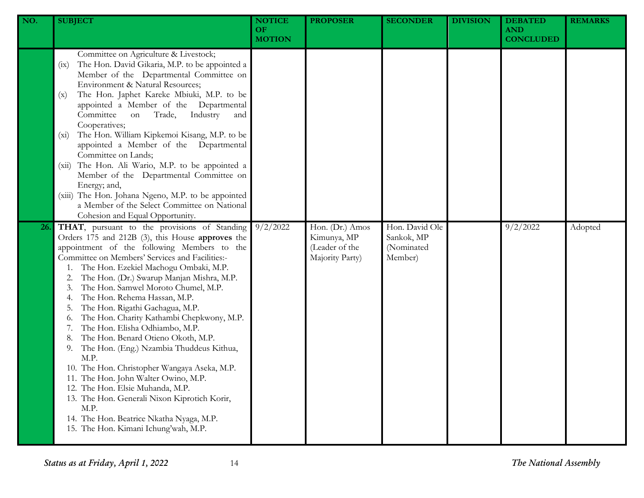| NO. | <b>SUBJECT</b>                                                                                                                                                                                                                                                                                                                                                                                                                                                                                                                                                                                                                                                                                                                                                                                                                                                  | <b>NOTICE</b><br><b>OF</b><br><b>MOTION</b> | <b>PROPOSER</b>                                                     | <b>SECONDER</b>                                       | <b>DIVISION</b> | <b>DEBATED</b><br><b>AND</b><br><b>CONCLUDED</b> | <b>REMARKS</b> |
|-----|-----------------------------------------------------------------------------------------------------------------------------------------------------------------------------------------------------------------------------------------------------------------------------------------------------------------------------------------------------------------------------------------------------------------------------------------------------------------------------------------------------------------------------------------------------------------------------------------------------------------------------------------------------------------------------------------------------------------------------------------------------------------------------------------------------------------------------------------------------------------|---------------------------------------------|---------------------------------------------------------------------|-------------------------------------------------------|-----------------|--------------------------------------------------|----------------|
|     | Committee on Agriculture & Livestock;<br>The Hon. David Gikaria, M.P. to be appointed a<br>(ix)<br>Member of the Departmental Committee on<br>Environment & Natural Resources;<br>The Hon. Japhet Kareke Mbiuki, M.P. to be<br>(x)<br>appointed a Member of the Departmental<br>Committee<br>Industry<br>Trade,<br>on<br>and<br>Cooperatives;<br>The Hon. William Kipkemoi Kisang, M.P. to be<br>$(x_i)$<br>appointed a Member of the Departmental<br>Committee on Lands;<br>The Hon. Ali Wario, M.P. to be appointed a<br>(xii)<br>Member of the Departmental Committee on<br>Energy; and,<br>(xiii) The Hon. Johana Ngeno, M.P. to be appointed<br>a Member of the Select Committee on National<br>Cohesion and Equal Opportunity.                                                                                                                            |                                             |                                                                     |                                                       |                 |                                                  |                |
| 26. | THAT, pursuant to the provisions of Standing<br>Orders 175 and 212B (3), this House approves the<br>appointment of the following Members to the<br>Committee on Members' Services and Facilities:-<br>The Hon. Ezekiel Machogu Ombaki, M.P.<br>The Hon. (Dr.) Swarup Manjan Mishra, M.P.<br>The Hon. Samwel Moroto Chumel, M.P.<br>The Hon. Rehema Hassan, M.P.<br>The Hon. Rigathi Gachagua, M.P.<br>The Hon. Charity Kathambi Chepkwony, M.P.<br>0.<br>The Hon. Elisha Odhiambo, M.P.<br>The Hon. Benard Otieno Okoth, M.P.<br>The Hon. (Eng.) Nzambia Thuddeus Kithua,<br>9.<br>M.P.<br>10. The Hon. Christopher Wangaya Aseka, M.P.<br>11. The Hon. John Walter Owino, M.P.<br>12. The Hon. Elsie Muhanda, M.P.<br>13. The Hon. Generali Nixon Kiprotich Korir,<br>M.P.<br>14. The Hon. Beatrice Nkatha Nyaga, M.P.<br>15. The Hon. Kimani Ichung'wah, M.P. | 9/2/2022                                    | Hon. (Dr.) Amos<br>Kimunya, MP<br>(Leader of the<br>Majority Party) | Hon. David Ole<br>Sankok, MP<br>(Nominated<br>Member) |                 | 9/2/2022                                         | Adopted        |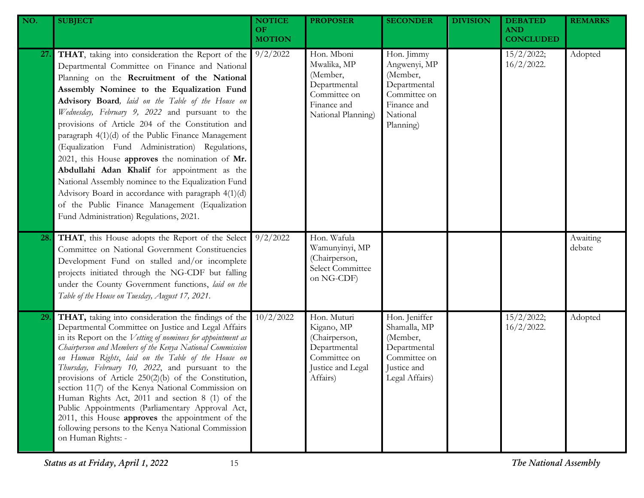| NO.        | <b>SUBJECT</b>                                                                                                                                                                                                                                                                                                                                                                                                                                                                                                                                                                                                                                                                                                                                                                     | <b>NOTICE</b><br>OF.<br><b>MOTION</b> | <b>PROPOSER</b>                                                                                             | <b>SECONDER</b>                                                                                                | <b>DIVISION</b> | <b>DEBATED</b><br><b>AND</b><br><b>CONCLUDED</b> | <b>REMARKS</b>     |
|------------|------------------------------------------------------------------------------------------------------------------------------------------------------------------------------------------------------------------------------------------------------------------------------------------------------------------------------------------------------------------------------------------------------------------------------------------------------------------------------------------------------------------------------------------------------------------------------------------------------------------------------------------------------------------------------------------------------------------------------------------------------------------------------------|---------------------------------------|-------------------------------------------------------------------------------------------------------------|----------------------------------------------------------------------------------------------------------------|-----------------|--------------------------------------------------|--------------------|
| <b>27.</b> | THAT, taking into consideration the Report of the<br>Departmental Committee on Finance and National<br>Planning on the Recruitment of the National<br>Assembly Nominee to the Equalization Fund<br>Advisory Board, laid on the Table of the House on<br>Wednesday, February 9, 2022 and pursuant to the<br>provisions of Article 204 of the Constitution and<br>paragraph 4(1)(d) of the Public Finance Management<br>(Equalization Fund Administration) Regulations,<br>2021, this House approves the nomination of Mr.<br>Abdullahi Adan Khalif for appointment as the<br>National Assembly nominee to the Equalization Fund<br>Advisory Board in accordance with paragraph 4(1)(d)<br>of the Public Finance Management (Equalization<br>Fund Administration) Regulations, 2021. | 9/2/2022                              | Hon. Mboni<br>Mwalika, MP<br>(Member,<br>Departmental<br>Committee on<br>Finance and<br>National Planning)  | Hon. Jimmy<br>Angwenyi, MP<br>(Member,<br>Departmental<br>Committee on<br>Finance and<br>National<br>Planning) |                 | 15/2/2022;<br>$16/2/2022$ .                      | Adopted            |
| 28.        | THAT, this House adopts the Report of the Select<br>Committee on National Government Constituencies<br>Development Fund on stalled and/or incomplete<br>projects initiated through the NG-CDF but falling<br>under the County Government functions, laid on the<br>Table of the House on Tuesday, August 17, 2021.                                                                                                                                                                                                                                                                                                                                                                                                                                                                 | $9/2/20$ 22                           | Hon. Wafula<br>Wamunyinyi, MP<br>(Chairperson,<br>Select Committee<br>on NG-CDF)                            |                                                                                                                |                 |                                                  | Awaiting<br>debate |
| <b>29.</b> | THAT, taking into consideration the findings of the<br>Departmental Committee on Justice and Legal Affairs<br>in its Report on the Vetting of nominees for appointment as<br>Chairperson and Members of the Kenya National Commission<br>on Human Rights, laid on the Table of the House on<br>Thursday, February 10, 2022, and pursuant to the<br>provisions of Article $250(2)(b)$ of the Constitution,<br>section 11(7) of the Kenya National Commission on<br>Human Rights Act, 2011 and section 8 (1) of the<br>Public Appointments (Parliamentary Approval Act,<br>2011, this House approves the appointment of the<br>following persons to the Kenya National Commission<br>on Human Rights: -                                                                              | 10/2/2022                             | Hon. Muturi<br>Kigano, MP<br>(Chairperson,<br>Departmental<br>Committee on<br>Justice and Legal<br>Affairs) | Hon. Jeniffer<br>Shamalla, MP<br>(Member,<br>Departmental<br>Committee on<br>Justice and<br>Legal Affairs)     |                 | 15/2/2022;<br>$16/2/2022$ .                      | Adopted            |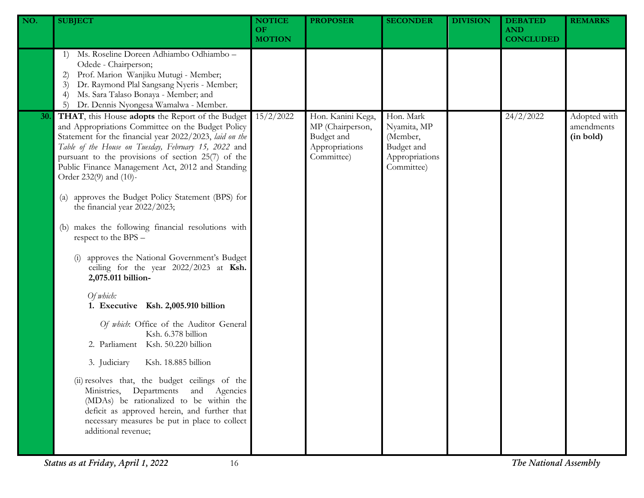| NO. | <b>SUBJECT</b>                                                                                                                                                                                                                                                                                                                                               | <b>NOTICE</b><br><b>OF</b><br><b>MOTION</b> | <b>PROPOSER</b>                                                                     | <b>SECONDER</b>                                                                    | <b>DIVISION</b> | <b>DEBATED</b><br><b>AND</b><br><b>CONCLUDED</b> | <b>REMARKS</b>                          |
|-----|--------------------------------------------------------------------------------------------------------------------------------------------------------------------------------------------------------------------------------------------------------------------------------------------------------------------------------------------------------------|---------------------------------------------|-------------------------------------------------------------------------------------|------------------------------------------------------------------------------------|-----------------|--------------------------------------------------|-----------------------------------------|
|     | Ms. Roseline Doreen Adhiambo Odhiambo -<br>1)<br>Odede - Chairperson;<br>Prof. Marion Wanjiku Mutugi - Member;<br>2)<br>Dr. Raymond Plal Sangsang Nyeris - Member;<br>3)<br>Ms. Sara Talaso Bonaya - Member; and<br>$\left(4\right)$<br>Dr. Dennis Nyongesa Wamalwa - Member.<br>5)                                                                          |                                             |                                                                                     |                                                                                    |                 |                                                  |                                         |
| 30. | THAT, this House adopts the Report of the Budget<br>and Appropriations Committee on the Budget Policy<br>Statement for the financial year 2022/2023, laid on the<br>Table of the House on Tuesday, February 15, 2022 and<br>pursuant to the provisions of section 25(7) of the<br>Public Finance Management Act, 2012 and Standing<br>Order 232(9) and (10)- | 15/2/2022                                   | Hon. Kanini Kega,<br>MP (Chairperson,<br>Budget and<br>Appropriations<br>Committee) | Hon. Mark<br>Nyamita, MP<br>(Member,<br>Budget and<br>Appropriations<br>Committee) |                 | 24/2/2022                                        | Adopted with<br>amendments<br>(in bold) |
|     | approves the Budget Policy Statement (BPS) for<br>$\left( a\right)$<br>the financial year 2022/2023;                                                                                                                                                                                                                                                         |                                             |                                                                                     |                                                                                    |                 |                                                  |                                         |
|     | makes the following financial resolutions with<br>(b)<br>respect to the BPS -                                                                                                                                                                                                                                                                                |                                             |                                                                                     |                                                                                    |                 |                                                  |                                         |
|     | approves the National Government's Budget<br>ceiling for the year 2022/2023 at Ksh.<br>2,075.011 billion-                                                                                                                                                                                                                                                    |                                             |                                                                                     |                                                                                    |                 |                                                  |                                         |
|     | Of which:<br>1. Executive Ksh. 2,005.910 billion                                                                                                                                                                                                                                                                                                             |                                             |                                                                                     |                                                                                    |                 |                                                  |                                         |
|     | Of which: Office of the Auditor General<br>Ksh. 6.378 billion<br>2. Parliament Ksh. 50.220 billion                                                                                                                                                                                                                                                           |                                             |                                                                                     |                                                                                    |                 |                                                  |                                         |
|     | 3. Judiciary<br>Ksh. 18.885 billion                                                                                                                                                                                                                                                                                                                          |                                             |                                                                                     |                                                                                    |                 |                                                  |                                         |
|     | (ii) resolves that, the budget ceilings of the<br>Ministries, Departments and Agencies<br>(MDAs) be rationalized to be within the<br>deficit as approved herein, and further that<br>necessary measures be put in place to collect<br>additional revenue;                                                                                                    |                                             |                                                                                     |                                                                                    |                 |                                                  |                                         |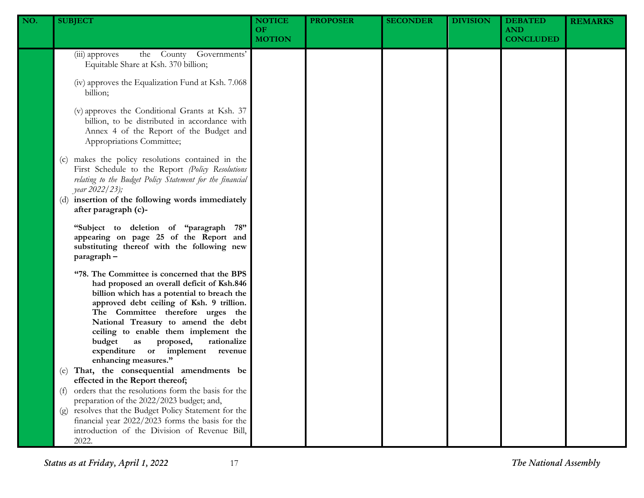| NO. | <b>SUBJECT</b>                                                                                                                                                                                                                                                                                                                                                                                                                                                                                                                                                                                                                                                                                                                                                                                    | <b>NOTICE</b><br><b>OF</b><br><b>MOTION</b> | <b>PROPOSER</b> | <b>SECONDER</b> | <b>DIVISION</b> | <b>DEBATED</b><br><b>AND</b><br><b>CONCLUDED</b> | <b>REMARKS</b> |
|-----|---------------------------------------------------------------------------------------------------------------------------------------------------------------------------------------------------------------------------------------------------------------------------------------------------------------------------------------------------------------------------------------------------------------------------------------------------------------------------------------------------------------------------------------------------------------------------------------------------------------------------------------------------------------------------------------------------------------------------------------------------------------------------------------------------|---------------------------------------------|-----------------|-----------------|-----------------|--------------------------------------------------|----------------|
|     | the County Governments'<br>(iii) approves<br>Equitable Share at Ksh. 370 billion;<br>(iv) approves the Equalization Fund at Ksh. 7.068<br>billion;<br>(v) approves the Conditional Grants at Ksh. 37<br>billion, to be distributed in accordance with<br>Annex 4 of the Report of the Budget and<br>Appropriations Committee;<br>(c) makes the policy resolutions contained in the<br>First Schedule to the Report (Policy Resolutions<br>relating to the Budget Policy Statement for the financial<br>year 2022/23);<br>(d) insertion of the following words immediately<br>after paragraph (c)-<br>"Subject to deletion of "paragraph 78"<br>appearing on page 25 of the Report and<br>substituting thereof with the following new                                                              |                                             |                 |                 |                 |                                                  |                |
|     | paragraph-<br>"78. The Committee is concerned that the BPS<br>had proposed an overall deficit of Ksh.846<br>billion which has a potential to breach the<br>approved debt ceiling of Ksh. 9 trillion.<br>The Committee therefore urges the<br>National Treasury to amend the debt<br>ceiling to enable them implement the<br>budget<br>rationalize<br>as<br>proposed,<br>expenditure or implement revenue<br>enhancing measures."<br>(e) That, the consequential amendments be<br>effected in the Report thereof;<br>orders that the resolutions form the basis for the<br>(f)<br>preparation of the 2022/2023 budget; and,<br>(g) resolves that the Budget Policy Statement for the<br>financial year 2022/2023 forms the basis for the<br>introduction of the Division of Revenue Bill,<br>2022. |                                             |                 |                 |                 |                                                  |                |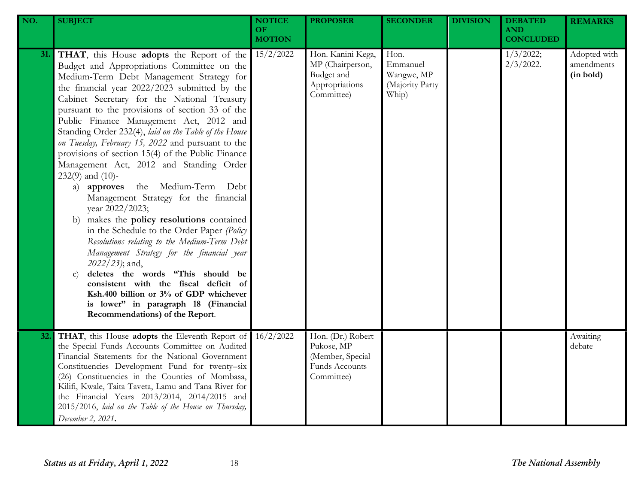| NO. | <b>SUBJECT</b>                                                                                                                                                                                                                                                                                                                                                                                                                                                                                                                                                                                                                                                                                                                                                                                                                                                                                                                                                                                                                                                                                               | <b>NOTICE</b><br><b>OF</b><br><b>MOTION</b> | <b>PROPOSER</b>                                                                     | <b>SECONDER</b>                                            | <b>DIVISION</b> | <b>DEBATED</b><br><b>AND</b><br><b>CONCLUDED</b> | <b>REMARKS</b>                          |
|-----|--------------------------------------------------------------------------------------------------------------------------------------------------------------------------------------------------------------------------------------------------------------------------------------------------------------------------------------------------------------------------------------------------------------------------------------------------------------------------------------------------------------------------------------------------------------------------------------------------------------------------------------------------------------------------------------------------------------------------------------------------------------------------------------------------------------------------------------------------------------------------------------------------------------------------------------------------------------------------------------------------------------------------------------------------------------------------------------------------------------|---------------------------------------------|-------------------------------------------------------------------------------------|------------------------------------------------------------|-----------------|--------------------------------------------------|-----------------------------------------|
| 31. | THAT, this House adopts the Report of the<br>Budget and Appropriations Committee on the<br>Medium-Term Debt Management Strategy for<br>the financial year 2022/2023 submitted by the<br>Cabinet Secretary for the National Treasury<br>pursuant to the provisions of section 33 of the<br>Public Finance Management Act, 2012 and<br>Standing Order 232(4), laid on the Table of the House<br>on Tuesday, February 15, 2022 and pursuant to the<br>provisions of section 15(4) of the Public Finance<br>Management Act, 2012 and Standing Order<br>$232(9)$ and $(10)$ -<br>the Medium-Term Debt<br>a) approves<br>Management Strategy for the financial<br>year 2022/2023;<br>makes the policy resolutions contained<br>b)<br>in the Schedule to the Order Paper (Policy<br>Resolutions relating to the Medium-Term Debt<br>Management Strategy for the financial year<br>2022/23); and,<br>deletes the words "This should be<br>$\mathbf{C}$<br>consistent with the fiscal deficit of<br>Ksh.400 billion or 3% of GDP whichever<br>is lower" in paragraph 18 (Financial<br>Recommendations) of the Report. | 15/2/2022                                   | Hon. Kanini Kega,<br>MP (Chairperson,<br>Budget and<br>Appropriations<br>Committee) | Hon.<br>Emmanuel<br>Wangwe, MP<br>(Majority Party<br>Whip) |                 | 1/3/2022;<br>$2/3/2022$ .                        | Adopted with<br>amendments<br>(in bold) |
| 32. | THAT, this House adopts the Eleventh Report of<br>the Special Funds Accounts Committee on Audited<br>Financial Statements for the National Government<br>Constituencies Development Fund for twenty-six<br>(26) Constituencies in the Counties of Mombasa,<br>Kilifi, Kwale, Taita Taveta, Lamu and Tana River for<br>the Financial Years 2013/2014, 2014/2015 and<br>2015/2016, laid on the Table of the House on Thursday,<br>December 2, 2021.                                                                                                                                                                                                                                                                                                                                                                                                                                                                                                                                                                                                                                                            | 16/2/2022                                   | Hon. (Dr.) Robert<br>Pukose, MP<br>(Member, Special<br>Funds Accounts<br>Committee) |                                                            |                 |                                                  | Awaiting<br>debate                      |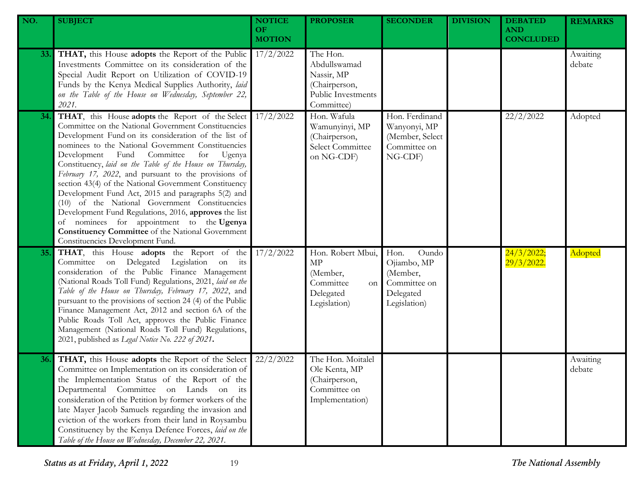| NO.        | <b>SUBJECT</b>                                                                                                                                                                                                                                                                                                                                                                                                                                                                                                                                                                                                                                                                                                                                                   | <b>NOTICE</b><br><b>OF</b><br><b>MOTION</b> | <b>PROPOSER</b>                                                                             | <b>SECONDER</b>                                                                       | <b>DIVISION</b> | <b>DEBATED</b><br><b>AND</b><br><b>CONCLUDED</b> | <b>REMARKS</b>     |
|------------|------------------------------------------------------------------------------------------------------------------------------------------------------------------------------------------------------------------------------------------------------------------------------------------------------------------------------------------------------------------------------------------------------------------------------------------------------------------------------------------------------------------------------------------------------------------------------------------------------------------------------------------------------------------------------------------------------------------------------------------------------------------|---------------------------------------------|---------------------------------------------------------------------------------------------|---------------------------------------------------------------------------------------|-----------------|--------------------------------------------------|--------------------|
| <b>33.</b> | THAT, this House adopts the Report of the Public<br>Investments Committee on its consideration of the<br>Special Audit Report on Utilization of COVID-19<br>Funds by the Kenya Medical Supplies Authority, laid<br>on the Table of the House on Wednesday, September 22,<br>2021.                                                                                                                                                                                                                                                                                                                                                                                                                                                                                | 17/2/2022                                   | The Hon.<br>Abdullswamad<br>Nassir, MP<br>(Chairperson,<br>Public Investments<br>Committee) |                                                                                       |                 |                                                  | Awaiting<br>debate |
| 34.        | THAT, this House adopts the Report of the Select<br>Committee on the National Government Constituencies<br>Development Fund on its consideration of the list of<br>nominees to the National Government Constituencies<br>Development Fund Committee<br>for<br>Ugenya<br>Constituency, laid on the Table of the House on Thursday,<br>February 17, 2022, and pursuant to the provisions of<br>section 43(4) of the National Government Constituency<br>Development Fund Act, 2015 and paragraphs 5(2) and<br>(10) of the National Government Constituencies<br>Development Fund Regulations, 2016, approves the list<br>of nominees for appointment to the Ugenya<br><b>Constituency Committee</b> of the National Government<br>Constituencies Development Fund. | 17/2/2022                                   | Hon. Wafula<br>Wamunyinyi, MP<br>(Chairperson,<br>Select Committee<br>on NG-CDF)            | Hon. Ferdinand<br>Wanyonyi, MP<br>(Member, Select<br>Committee on<br>NG-CDF)          |                 | 22/2/2022                                        | Adopted            |
| 35.        | THAT, this House adopts the Report of the<br>Committee on Delegated Legislation on its<br>consideration of the Public Finance Management<br>(National Roads Toll Fund) Regulations, 2021, laid on the<br>Table of the House on Thursday, February 17, 2022, and<br>pursuant to the provisions of section 24 (4) of the Public<br>Finance Management Act, 2012 and section 6A of the<br>Public Roads Toll Act, approves the Public Finance<br>Management (National Roads Toll Fund) Regulations,<br>2021, published as Legal Notice No. 222 of 2021.                                                                                                                                                                                                              | 17/2/2022                                   | Hon. Robert Mbui,<br>MP<br>(Member,<br>Committee<br>on<br>Delegated<br>Legislation)         | Hon.<br>Oundo<br>Ojiambo, MP<br>(Member,<br>Committee on<br>Delegated<br>Legislation) |                 | 24/3/2022;<br>$29/3/2022$ .                      | Adopted            |
| 36.        | THAT, this House adopts the Report of the Select<br>Committee on Implementation on its consideration of<br>the Implementation Status of the Report of the<br>Departmental Committee on Lands on its<br>consideration of the Petition by former workers of the<br>late Mayer Jacob Samuels regarding the invasion and<br>eviction of the workers from their land in Roysambu<br>Constituency by the Kenya Defence Forces, laid on the<br>Table of the House on Wednesday, December 22, 2021.                                                                                                                                                                                                                                                                      | 22/2/2022                                   | The Hon. Moitalel<br>Ole Kenta, MP<br>(Chairperson,<br>Committee on<br>Implementation)      |                                                                                       |                 |                                                  | Awaiting<br>debate |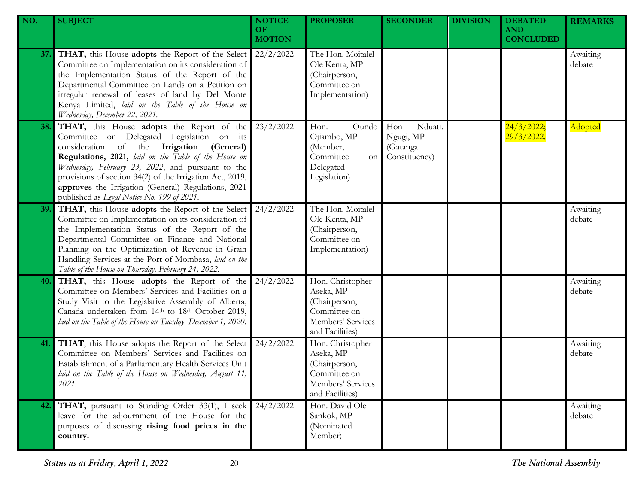| NO. | <b>SUBJECT</b>                                                                                                                                                                                                                                                                                                                                                                                                    | <b>NOTICE</b><br>OF.<br><b>MOTION</b> | <b>PROPOSER</b>                                                                                        | <b>SECONDER</b>                                          | <b>DIVISION</b> | <b>DEBATED</b><br><b>AND</b><br><b>CONCLUDED</b> | <b>REMARKS</b>     |
|-----|-------------------------------------------------------------------------------------------------------------------------------------------------------------------------------------------------------------------------------------------------------------------------------------------------------------------------------------------------------------------------------------------------------------------|---------------------------------------|--------------------------------------------------------------------------------------------------------|----------------------------------------------------------|-----------------|--------------------------------------------------|--------------------|
| 37. | THAT, this House adopts the Report of the Select<br>Committee on Implementation on its consideration of<br>the Implementation Status of the Report of the<br>Departmental Committee on Lands on a Petition on<br>irregular renewal of leases of land by Del Monte<br>Kenya Limited, laid on the Table of the House on<br>Wednesday, December 22, 2021.                                                            | 22/2/2022                             | The Hon. Moitalel<br>Ole Kenta, MP<br>(Chairperson,<br>Committee on<br>Implementation)                 |                                                          |                 |                                                  | Awaiting<br>debate |
| 38. | THAT, this House adopts the Report of the<br>Committee on Delegated Legislation on its<br>consideration of the Irrigation (General)<br>Regulations, 2021, laid on the Table of the House on<br>Wednesday, February 23, 2022, and pursuant to the<br>provisions of section 34(2) of the Irrigation Act, 2019,<br>approves the Irrigation (General) Regulations, 2021<br>published as Legal Notice No. 199 of 2021. | 23/2/2022                             | Hon.<br>Oundo<br>Ojiambo, MP<br>(Member,<br>Committee<br>on<br>Delegated<br>Legislation)               | Nduati.<br>Hon<br>Ngugi, MP<br>(Gatanga<br>Constituency) |                 | 24/3/2022;<br>29/3/2022.                         | Adopted            |
| 39. | THAT, this House adopts the Report of the Select<br>Committee on Implementation on its consideration of<br>the Implementation Status of the Report of the<br>Departmental Committee on Finance and National<br>Planning on the Optimization of Revenue in Grain<br>Handling Services at the Port of Mombasa, laid on the<br>Table of the House on Thursday, February 24, 2022.                                    | 24/2/2022                             | The Hon. Moitalel<br>Ole Kenta, MP<br>(Chairperson,<br>Committee on<br>Implementation)                 |                                                          |                 |                                                  | Awaiting<br>debate |
| 40. | THAT, this House adopts the Report of the<br>Committee on Members' Services and Facilities on a<br>Study Visit to the Legislative Assembly of Alberta,<br>Canada undertaken from 14th to 18th October 2019,<br>laid on the Table of the House on Tuesday, December 1, 2020.                                                                                                                                       | 24/2/2022                             | Hon. Christopher<br>Aseka, MP<br>(Chairperson,<br>Committee on<br>Members' Services<br>and Facilities) |                                                          |                 |                                                  | Awaiting<br>debate |
| 41. | THAT, this House adopts the Report of the Select<br>Committee on Members' Services and Facilities on<br>Establishment of a Parliamentary Health Services Unit<br>laid on the Table of the House on Wednesday, August 11,<br>2021.                                                                                                                                                                                 | 24/2/2022                             | Hon. Christopher<br>Aseka, MP<br>(Chairperson,<br>Committee on<br>Members' Services<br>and Facilities) |                                                          |                 |                                                  | Awaiting<br>debate |
| 42. | THAT, pursuant to Standing Order 33(1), I seek<br>leave for the adjournment of the House for the<br>purposes of discussing rising food prices in the<br>country.                                                                                                                                                                                                                                                  | 24/2/2022                             | Hon. David Ole<br>Sankok, MP<br>(Nominated<br>Member)                                                  |                                                          |                 |                                                  | Awaiting<br>debate |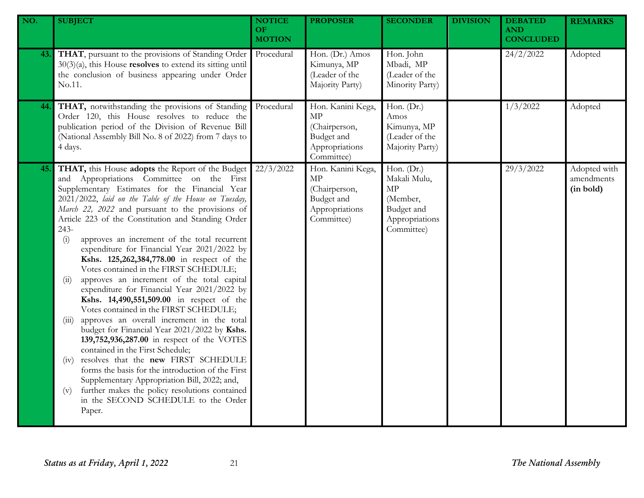| NO. | <b>SUBJECT</b>                                                                                                                                                                                                                                                                                                                                                                                                                                                                                                                                                                                                                                                                                                                                                                                                                                                                                                                                                                                                                                                                                                                                                               | <b>NOTICE</b><br><b>OF</b><br><b>MOTION</b> | <b>PROPOSER</b>                                                                               | <b>SECONDER</b>                                                                            | <b>DIVISION</b> | <b>DEBATED</b><br><b>AND</b><br><b>CONCLUDED</b> | <b>REMARKS</b>                          |
|-----|------------------------------------------------------------------------------------------------------------------------------------------------------------------------------------------------------------------------------------------------------------------------------------------------------------------------------------------------------------------------------------------------------------------------------------------------------------------------------------------------------------------------------------------------------------------------------------------------------------------------------------------------------------------------------------------------------------------------------------------------------------------------------------------------------------------------------------------------------------------------------------------------------------------------------------------------------------------------------------------------------------------------------------------------------------------------------------------------------------------------------------------------------------------------------|---------------------------------------------|-----------------------------------------------------------------------------------------------|--------------------------------------------------------------------------------------------|-----------------|--------------------------------------------------|-----------------------------------------|
| 43. | THAT, pursuant to the provisions of Standing Order<br>$30(3)(a)$ , this House <b>resolves</b> to extend its sitting until<br>the conclusion of business appearing under Order<br>No.11.                                                                                                                                                                                                                                                                                                                                                                                                                                                                                                                                                                                                                                                                                                                                                                                                                                                                                                                                                                                      | Procedural                                  | Hon. (Dr.) Amos<br>Kimunya, MP<br>(Leader of the<br>Majority Party)                           | Hon. John<br>Mbadi, MP<br>(Leader of the<br>Minority Party)                                |                 | 24/2/2022                                        | Adopted                                 |
| 44. | THAT, notwithstanding the provisions of Standing<br>Order 120, this House resolves to reduce the<br>publication period of the Division of Revenue Bill<br>(National Assembly Bill No. 8 of 2022) from 7 days to<br>4 days.                                                                                                                                                                                                                                                                                                                                                                                                                                                                                                                                                                                                                                                                                                                                                                                                                                                                                                                                                   | Procedural                                  | Hon. Kanini Kega,<br><b>MP</b><br>(Chairperson,<br>Budget and<br>Appropriations<br>Committee) | Hon. $(Dr.)$<br>Amos<br>Kimunya, MP<br>(Leader of the<br>Majority Party)                   |                 | 1/3/2022                                         | Adopted                                 |
| 45. | THAT, this House adopts the Report of the Budget<br>and Appropriations Committee on the First<br>Supplementary Estimates for the Financial Year<br>2021/2022, laid on the Table of the House on Tuesday,<br>March 22, 2022 and pursuant to the provisions of<br>Article 223 of the Constitution and Standing Order<br>243-<br>approves an increment of the total recurrent<br>(i)<br>expenditure for Financial Year 2021/2022 by<br>Kshs. 125,262,384,778.00 in respect of the<br>Votes contained in the FIRST SCHEDULE;<br>approves an increment of the total capital<br>(ii)<br>expenditure for Financial Year 2021/2022 by<br>Kshs. 14,490,551,509.00 in respect of the<br>Votes contained in the FIRST SCHEDULE;<br>approves an overall increment in the total<br>(iii)<br>budget for Financial Year 2021/2022 by Kshs.<br>139,752,936,287.00 in respect of the VOTES<br>contained in the First Schedule;<br>resolves that the new FIRST SCHEDULE<br>(1V)<br>forms the basis for the introduction of the First<br>Supplementary Appropriation Bill, 2022; and,<br>further makes the policy resolutions contained<br>(v)<br>in the SECOND SCHEDULE to the Order<br>Paper. | 22/3/2022                                   | Hon. Kanini Kega,<br>MP<br>(Chairperson,<br>Budget and<br>Appropriations<br>Committee)        | Hon. (Dr.)<br>Makali Mulu,<br>MP<br>(Member,<br>Budget and<br>Appropriations<br>Committee) |                 | 29/3/2022                                        | Adopted with<br>amendments<br>(in bold) |